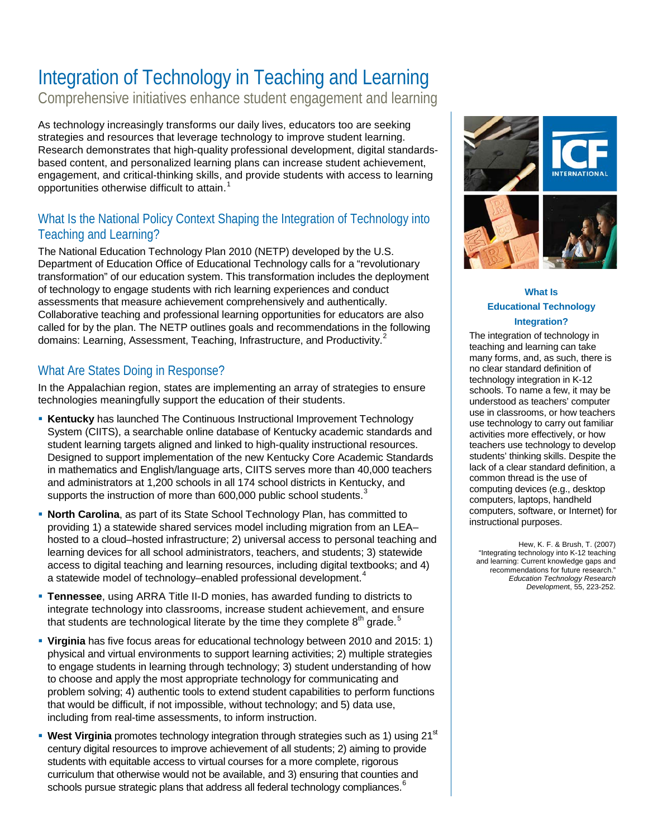## Integration of Technology in Teaching and Learning

Comprehensive initiatives enhance student engagement and learning

As technology increasingly transforms our daily lives, educators too are seeking strategies and resources that leverage technology to improve student learning. Research demonstrates that high-quality professional development, digital standardsbased content, and personalized learning plans can increase student achievement, engagement, and critical-thinking skills, and provide students with access to learning opportunities otherwise difficult to attain. [1](#page-1-0)

### What Is the National Policy Context Shaping the Integration of Technology into Teaching and Learning?

The National Education Technology Plan 2010 (NETP) developed by the U.S. Department of Education Office of Educational Technology calls for a "revolutionary transformation" of our education system. This transformation includes the deployment of technology to engage students with rich learning experiences and conduct assessments that measure achievement comprehensively and authentically. Collaborative teaching and professional learning opportunities for educators are also called for by the plan. The NETP outlines goals and recommendations in the following domains: Learning, Assessment, Teaching, Infrastructure, and Productivity.<sup>[2](#page-1-1)</sup>

### What Are States Doing in Response?

In the Appalachian region, states are implementing an array of strategies to ensure technologies meaningfully support the education of their students.

- **Kentucky** has launched The Continuous Instructional Improvement Technology System (CIITS), a searchable online database of Kentucky academic standards and student learning targets aligned and linked to high-quality instructional resources. Designed to support implementation of the new Kentucky Core Academic Standards in mathematics and English/language arts, CIITS serves more than 40,000 teachers and administrators at 1,200 schools in all 174 school districts in Kentucky, and supports the instruction of more than 600,000 public school students.<sup>[3](#page-1-2)</sup>
- **North Carolina**, as part of its State School Technology Plan, has committed to providing 1) a statewide shared services model including migration from an LEA– hosted to a cloud–hosted infrastructure; 2) universal access to personal teaching and learning devices for all school administrators, teachers, and students; 3) statewide access to digital teaching and learning resources, including digital textbooks; and 4) a statewide model of technology-enabled professional development.<sup>[4](#page-1-3)</sup>
- **Tennessee**, using ARRA Title II-D monies, has awarded funding to districts to integrate technology into classrooms, increase student achievement, and ensure that students are technological literate by the time they complete  $8^{th}$  grade.<sup>[5](#page-1-4)</sup>
- **Virginia** has five focus areas for educational technology between 2010 and 2015: 1) physical and virtual environments to support learning activities; 2) multiple strategies to engage students in learning through technology; 3) student understanding of how to choose and apply the most appropriate technology for communicating and problem solving; 4) authentic tools to extend student capabilities to perform functions that would be difficult, if not impossible, without technology; and 5) data use, including from real-time assessments, to inform instruction.
- **West Virginia** promotes technology integration through strategies such as 1) using 21<sup>st</sup> century digital resources to improve achievement of all students; 2) aiming to provide students with equitable access to virtual courses for a more complete, rigorous curriculum that otherwise would not be available, and 3) ensuring that counties and schools pursue strategic plans that address all federal technology compliances.<sup>[6](#page-1-5)</sup>



#### **What Is Educational Technology Integration?**

The integration of technology in teaching and learning can take many forms, and, as such, there is no clear standard definition of technology integration in K-12 schools. To name a few, it may be understood as teachers' computer use in classrooms, or how teachers use technology to carry out familiar activities more effectively, or how teachers use technology to develop students' thinking skills. Despite the lack of a clear standard definition, a common thread is the use of computing devices (e.g., desktop computers, laptops, handheld computers, software, or Internet) for instructional purposes.

Hew, K. F. & Brush, T. (2007) "Integrating technology into K-12 teaching and learning: Current knowledge gaps and recommendations for future research." *Education Technology Research Developmen*t, 55, 223-252.